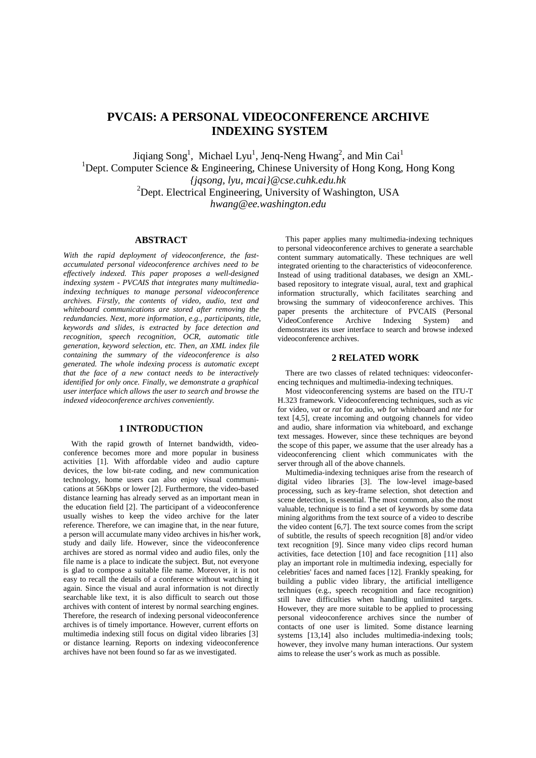# **PVCAIS: A PERSONAL VIDEOCONFERENCE ARCHIVE INDEXING SYSTEM**

Jiqiang Song<sup>1</sup>, Michael Lyu<sup>1</sup>, Jenq-Neng Hwang<sup>2</sup>, and Min Cai<sup>1</sup> <sup>1</sup>Dept. Computer Science & Engineering, Chinese University of Hong Kong, Hong Kong *{jqsong, lyu, mcai}@cse.cuhk.edu.hk*  <sup>2</sup>Dept. Electrical Engineering, University of Washington, USA *hwang@ee.washington.edu* 

# **ABSTRACT**

*With the rapid deployment of videoconference, the fastaccumulated personal videoconference archives need to be effectively indexed. This paper proposes a well-designed indexing system - PVCAIS that integrates many multimediaindexing techniques to manage personal videoconference archives. Firstly, the contents of video, audio, text and whiteboard communications are stored after removing the redundancies. Next, more information, e.g., participants, title, keywords and slides, is extracted by face detection and recognition, speech recognition, OCR, automatic title generation, keyword selection, etc. Then, an XML index file containing the summary of the videoconference is also generated. The whole indexing process is automatic except that the face of a new contact needs to be interactively identified for only once. Finally, we demonstrate a graphical user interface which allows the user to search and browse the indexed videoconference archives conveniently.* 

## **1 INTRODUCTION**

With the rapid growth of Internet bandwidth, videoconference becomes more and more popular in business activities [1]. With affordable video and audio capture devices, the low bit-rate coding, and new communication technology, home users can also enjoy visual communications at 56Kbps or lower [2]. Furthermore, the video-based distance learning has already served as an important mean in the education field [2]. The participant of a videoconference usually wishes to keep the video archive for the later reference. Therefore, we can imagine that, in the near future, a person will accumulate many video archives in his/her work, study and daily life. However, since the videoconference archives are stored as normal video and audio files, only the file name is a place to indicate the subject. But, not everyone is glad to compose a suitable file name. Moreover, it is not easy to recall the details of a conference without watching it again. Since the visual and aural information is not directly searchable like text, it is also difficult to search out those archives with content of interest by normal searching engines. Therefore, the research of indexing personal videoconference archives is of timely importance. However, current efforts on multimedia indexing still focus on digital video libraries [3] or distance learning. Reports on indexing videoconference archives have not been found so far as we investigated.

This paper applies many multimedia-indexing techniques to personal videoconference archives to generate a searchable content summary automatically. These techniques are well integrated orienting to the characteristics of videoconference. Instead of using traditional databases, we design an XMLbased repository to integrate visual, aural, text and graphical information structurally, which facilitates searching and browsing the summary of videoconference archives. This paper presents the architecture of PVCAIS (Personal VideoConference Archive Indexing System) and demonstrates its user interface to search and browse indexed videoconference archives.

## **2 RELATED WORK**

There are two classes of related techniques: videoconferencing techniques and multimedia-indexing techniques.

Most videoconferencing systems are based on the ITU-T H.323 framework. Videoconferencing techniques, such as *vic* for video, *vat* or *rat* for audio, *wb* for whiteboard and *nte* for text [4,5], create incoming and outgoing channels for video and audio, share information via whiteboard, and exchange text messages. However, since these techniques are beyond the scope of this paper, we assume that the user already has a videoconferencing client which communicates with the server through all of the above channels.

Multimedia-indexing techniques arise from the research of digital video libraries [3]. The low-level image-based processing, such as key-frame selection, shot detection and scene detection, is essential. The most common, also the most valuable, technique is to find a set of keywords by some data mining algorithms from the text source of a video to describe the video content [6,7]. The text source comes from the script of subtitle, the results of speech recognition [8] and/or video text recognition [9]. Since many video clips record human activities, face detection [10] and face recognition [11] also play an important role in multimedia indexing, especially for celebrities' faces and named faces [12]. Frankly speaking, for building a public video library, the artificial intelligence techniques (e.g., speech recognition and face recognition) still have difficulties when handling unlimited targets. However, they are more suitable to be applied to processing personal videoconference archives since the number of contacts of one user is limited. Some distance learning systems [13,14] also includes multimedia-indexing tools; however, they involve many human interactions. Our system aims to release the user's work as much as possible.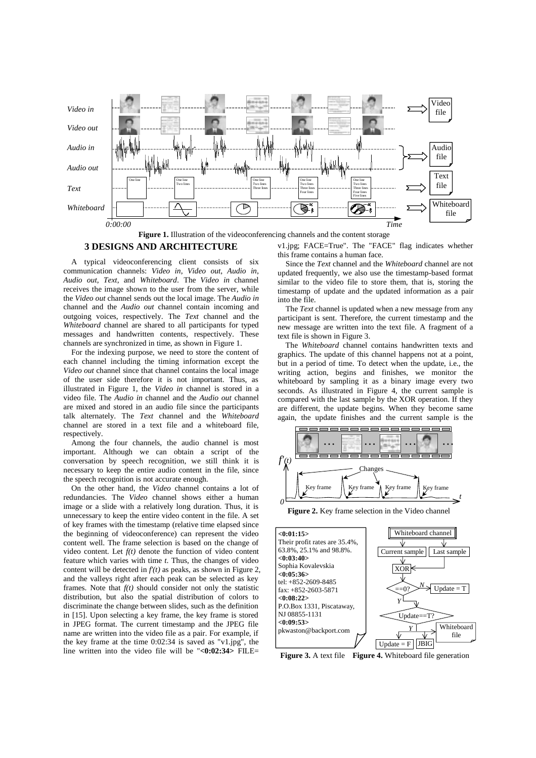

Figure 1. Illustration of the videoconferencing channels and the content storage

#### **3 DESIGNS AND ARCHITECTURE**

A typical videoconferencing client consists of six communication channels: *Video in*, *Video out*, *Audio in*, *Audio out*, *Text*, and *Whiteboard*. The *Video in* channel receives the image shown to the user from the server, while the *Video out* channel sends out the local image. The *Audio in* channel and the *Audio out* channel contain incoming and outgoing voices, respectively. The *Text* channel and the *Whiteboard* channel are shared to all participants for typed messages and handwritten contents, respectively. These channels are synchronized in time, as shown in Figure 1.

For the indexing purpose, we need to store the content of each channel including the timing information except the *Video out* channel since that channel contains the local image of the user side therefore it is not important. Thus, as illustrated in Figure 1, the *Video in* channel is stored in a video file. The *Audio in* channel and the *Audio out* channel are mixed and stored in an audio file since the participants talk alternately. The *Text* channel and the *Whiteboard* channel are stored in a text file and a whiteboard file, respectively.

Among the four channels, the audio channel is most important. Although we can obtain a script of the conversation by speech recognition, we still think it is necessary to keep the entire audio content in the file, since the speech recognition is not accurate enough.

On the other hand, the *Video* channel contains a lot of redundancies. The *Video* channel shows either a human image or a slide with a relatively long duration. Thus, it is unnecessary to keep the entire video content in the file. A set of key frames with the timestamp (relative time elapsed since the beginning of videoconference) can represent the video content well. The frame selection is based on the change of video content. Let *f(t)* denote the function of video content feature which varies with time *t*. Thus, the changes of video content will be detected in *f'(t)* as peaks, as shown in Figure 2, and the valleys right after each peak can be selected as key frames. Note that *f(t)* should consider not only the statistic distribution, but also the spatial distribution of colors to discriminate the change between slides, such as the definition in [15]. Upon selecting a key frame, the key frame is stored in JPEG format. The current timestamp and the JPEG file name are written into the video file as a pair. For example, if the key frame at the time 0:02:34 is saved as "v1.jpg", the line written into the video file will be "**<0:02:34>** FILE=

v1.jpg; FACE=True". The "FACE" flag indicates whether this frame contains a human face.

Since the *Text* channel and the *Whiteboard* channel are not updated frequently, we also use the timestamp-based format similar to the video file to store them, that is, storing the timestamp of update and the updated information as a pair into the file.

The *Text* channel is updated when a new message from any participant is sent. Therefore, the current timestamp and the new message are written into the text file. A fragment of a text file is shown in Figure 3.

The *Whiteboard* channel contains handwritten texts and graphics. The update of this channel happens not at a point, but in a period of time. To detect when the update, i.e., the writing action, begins and finishes, we monitor the whiteboard by sampling it as a binary image every two seconds. As illustrated in Figure 4, the current sample is compared with the last sample by the XOR operation. If they are different, the update begins. When they become same again, the update finishes and the current sample is the



**Figure 2.** Key frame selection in the Video channel



 **Figure 3.** A text file **Figure 4.** Whiteboard file generation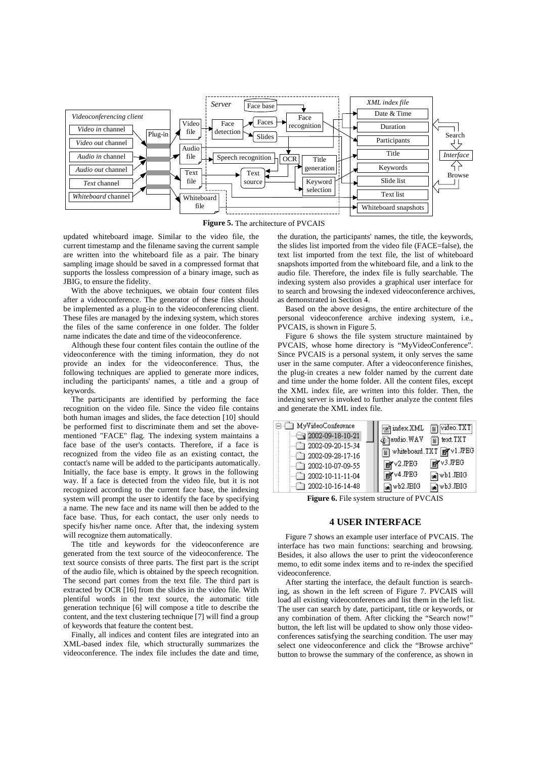

**Figure 5.** The architecture of PVCAIS

updated whiteboard image. Similar to the video file, the current timestamp and the filename saving the current sample are written into the whiteboard file as a pair. The binary sampling image should be saved in a compressed format that supports the lossless compression of a binary image, such as JBIG, to ensure the fidelity.

With the above techniques, we obtain four content files after a videoconference. The generator of these files should be implemented as a plug-in to the videoconferencing client. These files are managed by the indexing system, which stores the files of the same conference in one folder. The folder name indicates the date and time of the videoconference.

Although these four content files contain the outline of the videoconference with the timing information, they do not provide an index for the videoconference. Thus, the following techniques are applied to generate more indices, including the participants' names, a title and a group of keywords.

The participants are identified by performing the face recognition on the video file. Since the video file contains both human images and slides, the face detection [10] should be performed first to discriminate them and set the abovementioned "FACE" flag. The indexing system maintains a face base of the user's contacts. Therefore, if a face is recognized from the video file as an existing contact, the contact's name will be added to the participants automatically. Initially, the face base is empty. It grows in the following way. If a face is detected from the video file, but it is not recognized according to the current face base, the indexing system will prompt the user to identify the face by specifying a name. The new face and its name will then be added to the face base. Thus, for each contact, the user only needs to specify his/her name once. After that, the indexing system will recognize them automatically.

The title and keywords for the videoconference are generated from the text source of the videoconference. The text source consists of three parts. The first part is the script of the audio file, which is obtained by the speech recognition. The second part comes from the text file. The third part is extracted by OCR [16] from the slides in the video file. With plentiful words in the text source, the automatic title generation technique [6] will compose a title to describe the content, and the text clustering technique [7] will find a group of keywords that feature the content best.

Finally, all indices and content files are integrated into an XML-based index file, which structurally summarizes the videoconference. The index file includes the date and time,

the duration, the participants' names, the title, the keywords, the slides list imported from the video file (FACE=false), the text list imported from the text file, the list of whiteboard snapshots imported from the whiteboard file, and a link to the audio file. Therefore, the index file is fully searchable. The indexing system also provides a graphical user interface for to search and browsing the indexed videoconference archives, as demonstrated in Section 4.

Based on the above designs, the entire architecture of the personal videoconference archive indexing system, i.e., PVCAIS, is shown in Figure 5.

Figure 6 shows the file system structure maintained by PVCAIS, whose home directory is "MyVideoConference". Since PVCAIS is a personal system, it only serves the same user in the same computer. After a videoconference finishes, the plug-in creates a new folder named by the current date and time under the home folder. All the content files, except the XML index file, are written into this folder. Then, the indexing server is invoked to further analyze the content files and generate the XML index file.



**Figure 6.** File system structure of PVCAIS

## **4 USER INTERFACE**

Figure 7 shows an example user interface of PVCAIS. The interface has two main functions: searching and browsing. Besides, it also allows the user to print the videoconference memo, to edit some index items and to re-index the specified videoconference.

After starting the interface, the default function is searching, as shown in the left screen of Figure 7. PVCAIS will load all existing videoconferences and list them in the left list. The user can search by date, participant, title or keywords, or any combination of them. After clicking the "Search now!" button, the left list will be updated to show only those videoconferences satisfying the searching condition. The user may select one videoconference and click the "Browse archive" button to browse the summary of the conference, as shown in